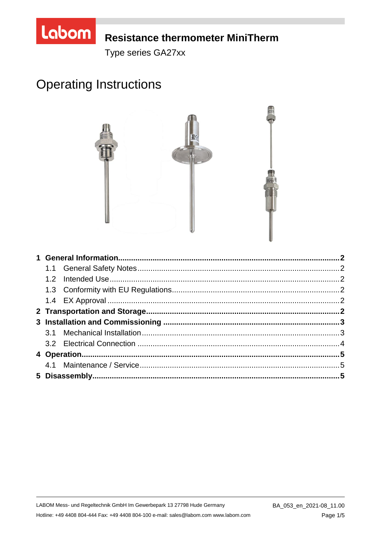

## **Resistance thermometer MiniTherm**

Type series GA27xx

# **Operating Instructions**

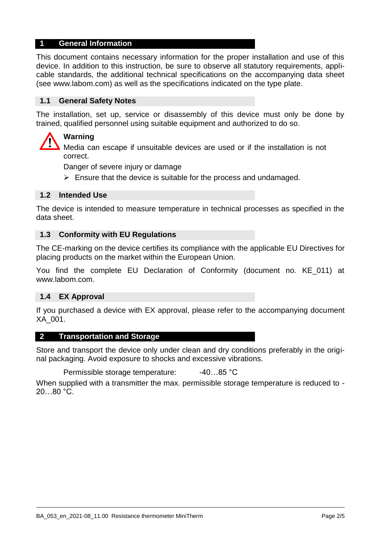## **1 General Information**

This document contains necessary information for the proper installation and use of this device. In addition to this instruction, be sure to observe all statutory requirements, applicable standards, the additional technical specifications on the accompanying data sheet (see www.labom.com) as well as the specifications indicated on the type plate.

## **1.1 General Safety Notes**

The installation, set up, service or disassembly of this device must only be done by trained, qualified personnel using suitable equipment and authorized to do so.

## **Warning**

Media can escape if unsuitable devices are used or if the installation is not correct.

Danger of severe injury or damage

 $\triangleright$  Ensure that the device is suitable for the process and undamaged.

## **1.2 Intended Use**

The device is intended to measure temperature in technical processes as specified in the data sheet.

#### **1.3 Conformity with EU Regulations**

The CE-marking on the device certifies its compliance with the applicable EU Directives for placing products on the market within the European Union.

You find the complete EU Declaration of Conformity (document no. KE\_011) at www.labom.com.

#### **1.4 EX Approval**

If you purchased a device with EX approval, please refer to the accompanying document XA\_001.

#### **2 Transportation and Storage**

Store and transport the device only under clean and dry conditions preferably in the original packaging. Avoid exposure to shocks and excessive vibrations.

Permissible storage temperature: -40...85 °C

When supplied with a transmitter the max. permissible storage temperature is reduced to -20…80 °C.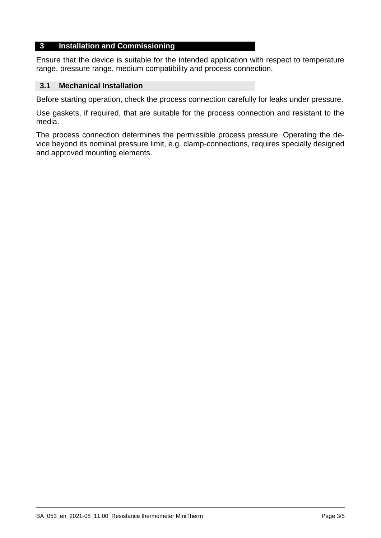## **3 Installation and Commissioning**

Ensure that the device is suitable for the intended application with respect to temperature range, pressure range, medium compatibility and process connection.

## **3.1 Mechanical Installation**

Before starting operation, check the process connection carefully for leaks under pressure.

Use gaskets, if required, that are suitable for the process connection and resistant to the media.

The process connection determines the permissible process pressure. Operating the device beyond its nominal pressure limit, e.g. clamp-connections, requires specially designed and approved mounting elements.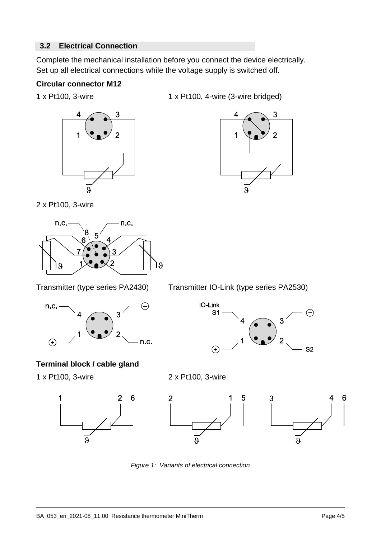## **3.2 Electrical Connection**

Complete the mechanical installation before you connect the device electrically. Set up all electrical connections while the voltage supply is switched off.

## **Circular connector M12**



1 x Pt100, 3-wire 1 x Pt100, 4-wire (3-wire bridged)



2 x Pt100, 3-wire



Transmitter (type series PA2430) Transmitter IO-Link (type series PA2530)



**Terminal block / cable gland**



**IO-Link** 

 $S<sub>1</sub>$ 

 $\left( \mathbf{F}\right)$ 







 $\left(\begin{matrix} -\end{matrix}\right)$ 

 $S<sub>2</sub>$ 

3

*Figure 1: Variants of electrical connection*